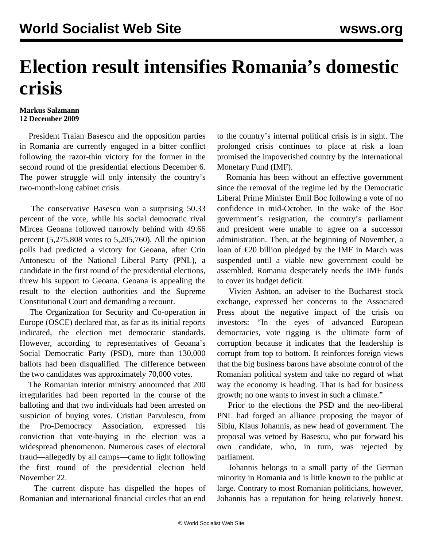## **Election result intensifies Romania's domestic crisis**

## **Markus Salzmann 12 December 2009**

 President Traian Basescu and the opposition parties in Romania are currently engaged in a bitter conflict following the razor-thin victory for the former in the second round of the presidential elections December 6. The power struggle will only intensify the country's two-month-long cabinet crisis.

 The conservative Basescu won a surprising 50.33 percent of the vote, while his social democratic rival Mircea Geoana followed narrowly behind with 49.66 percent (5,275,808 votes to 5,205,760). All the opinion polls had predicted a victory for Geoana, after Crin Antonescu of the National Liberal Party (PNL), a candidate in the first round of the presidential elections, threw his support to Geoana. Geoana is appealing the result to the election authorities and the Supreme Constitutional Court and demanding a recount.

 The Organization for Security and Co-operation in Europe (OSCE) declared that, as far as its initial reports indicated, the election met democratic standards. However, according to representatives of Geoana's Social Democratic Party (PSD), more than 130,000 ballots had been disqualified. The difference between the two candidates was approximately 70,000 votes.

 The Romanian interior ministry announced that 200 irregularities had been reported in the course of the balloting and that two individuals had been arrested on suspicion of buying votes. Cristian Parvulescu, from the Pro-Democracy Association, expressed his conviction that vote-buying in the election was a widespread phenomenon. Numerous cases of electoral fraud—allegedly by all camps—came to light following the first round of the presidential election held November 22.

 The current dispute has dispelled the hopes of Romanian and international financial circles that an end to the country's internal political crisis is in sight. The prolonged crisis continues to place at risk a loan promised the impoverished country by the International Monetary Fund (IMF).

 Romania has been without an effective government since the removal of the regime led by the Democratic Liberal Prime Minister Emil Boc following a vote of no confidence in mid-October. In the wake of the Boc government's resignation, the country's parliament and president were unable to agree on a successor administration. Then, at the beginning of November, a loan of €20 billion pledged by the IMF in March was suspended until a viable new government could be assembled. Romania desperately needs the IMF funds to cover its budget deficit.

 Vivien Ashton, an adviser to the Bucharest stock exchange, expressed her concerns to the Associated Press about the negative impact of the crisis on investors: "In the eyes of advanced European democracies, vote rigging is the ultimate form of corruption because it indicates that the leadership is corrupt from top to bottom. It reinforces foreign views that the big business barons have absolute control of the Romanian political system and take no regard of what way the economy is heading. That is bad for business growth; no one wants to invest in such a climate."

 Prior to the elections the PSD and the neo-liberal PNL had forged an alliance proposing the mayor of Sibiu, Klaus Johannis, as new head of government. The proposal was vetoed by Basescu, who put forward his own candidate, who, in turn, was rejected by parliament.

 Johannis belongs to a small party of the German minority in Romania and is little known to the public at large. Contrary to most Romanian politicians, however, Johannis has a reputation for being relatively honest.